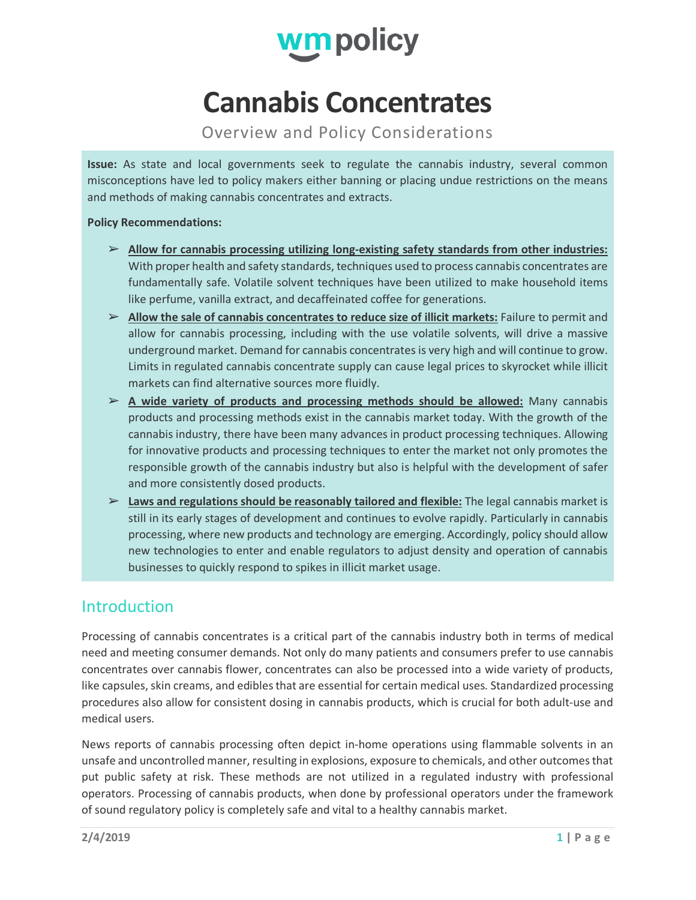

# **Cannabis Concentrates**

Overview and Policy Considerations

**Issue:** As state and local governments seek to regulate the cannabis industry, several common misconceptions have led to policy makers either banning or placing undue restrictions on the means and methods of making cannabis concentrates and extracts.

#### **Policy Recommendations:**

- ➢ **Allow for cannabis processing utilizing long-existing safety standards from other industries:** With proper health and safety standards, techniques used to process cannabis concentrates are fundamentally safe. Volatile solvent techniques have been utilized to make household items like perfume, vanilla extract, and decaffeinated coffee for generations.
- ➢ **Allow the sale of cannabis concentrates to reduce size of illicit markets:** Failure to permit and allow for cannabis processing, including with the use volatile solvents, will drive a massive underground market. Demand for cannabis concentrates is very high and will continue to grow. Limits in regulated cannabis concentrate supply can cause legal prices to skyrocket while illicit markets can find alternative sources more fluidly.
- ➢ **A wide variety of products and processing methods should be allowed:** Many cannabis products and processing methods exist in the cannabis market today. With the growth of the cannabis industry, there have been many advances in product processing techniques. Allowing for innovative products and processing techniques to enter the market not only promotes the responsible growth of the cannabis industry but also is helpful with the development of safer and more consistently dosed products.
- ➢ **Laws and regulations should be reasonably tailored and flexible:** The legal cannabis market is still in its early stages of development and continues to evolve rapidly. Particularly in cannabis processing, where new products and technology are emerging. Accordingly, policy should allow new technologies to enter and enable regulators to adjust density and operation of cannabis businesses to quickly respond to spikes in illicit market usage.

# Introduction

Processing of cannabis concentrates is a critical part of the cannabis industry both in terms of medical need and meeting consumer demands. Not only do many patients and consumers prefer to use cannabis concentrates over cannabis flower, concentrates can also be processed into a wide variety of products, like capsules, skin creams, and edibles that are essential for certain medical uses. Standardized processing procedures also allow for consistent dosing in cannabis products, which is crucial for both adult-use and medical users.

News reports of cannabis processing often depict in-home operations using flammable solvents in an unsafe and uncontrolled manner, resulting in explosions, exposure to chemicals, and other outcomes that put public safety at risk. These methods are not utilized in a regulated industry with professional operators. Processing of cannabis products, when done by professional operators under the framework of sound regulatory policy is completely safe and vital to a healthy cannabis market.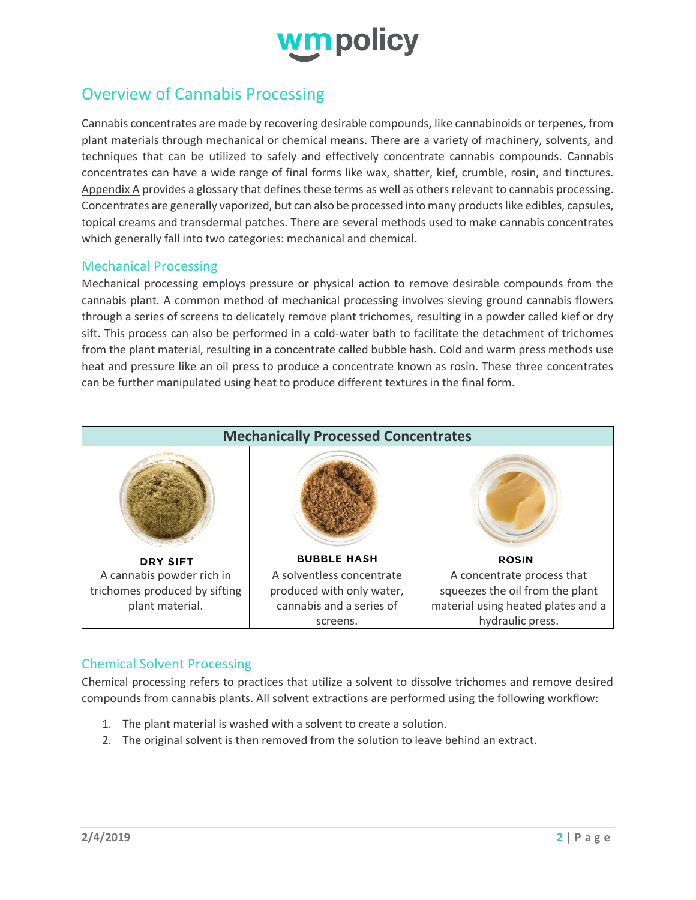

# Overview of Cannabis Processing

Cannabis concentrates are made by recovering desirable compounds, like cannabinoids or terpenes, from plant materials through mechanical or chemical means. There are a variety of machinery, solvents, and techniques that can be utilized to safely and effectively concentrate cannabis compounds. Cannabis concentrates can have a wide range of final forms like wax, shatter, kief, crumble, rosin, and tinctures. Appendix A provides a glossary that defines these terms as well as others relevant to cannabis processing. Concentrates are generally vaporized, but can also be processed into many products like edibles, capsules, topical creams and transdermal patches. There are several methods used to make cannabis concentrates which generally fall into two categories: mechanical and chemical.

## Mechanical Processing

Mechanical processing employs pressure or physical action to remove desirable compounds from the cannabis plant. A common method of mechanical processing involves sieving ground cannabis flowers through a series of screens to delicately remove plant trichomes, resulting in a powder called kief or dry sift. This process can also be performed in a cold-water bath to facilitate the detachment of trichomes from the plant material, resulting in a concentrate called bubble hash. Cold and warm press methods use heat and pressure like an oil press to produce a concentrate known as rosin. These three concentrates can be further manipulated using heat to produce different textures in the final form.



# Chemical Solvent Processing

Chemical processing refers to practices that utilize a solvent to dissolve trichomes and remove desired compounds from cannabis plants. All solvent extractions are performed using the following workflow:

- 1. The plant material is washed with a solvent to create a solution.
- 2. The original solvent is then removed from the solution to leave behind an extract.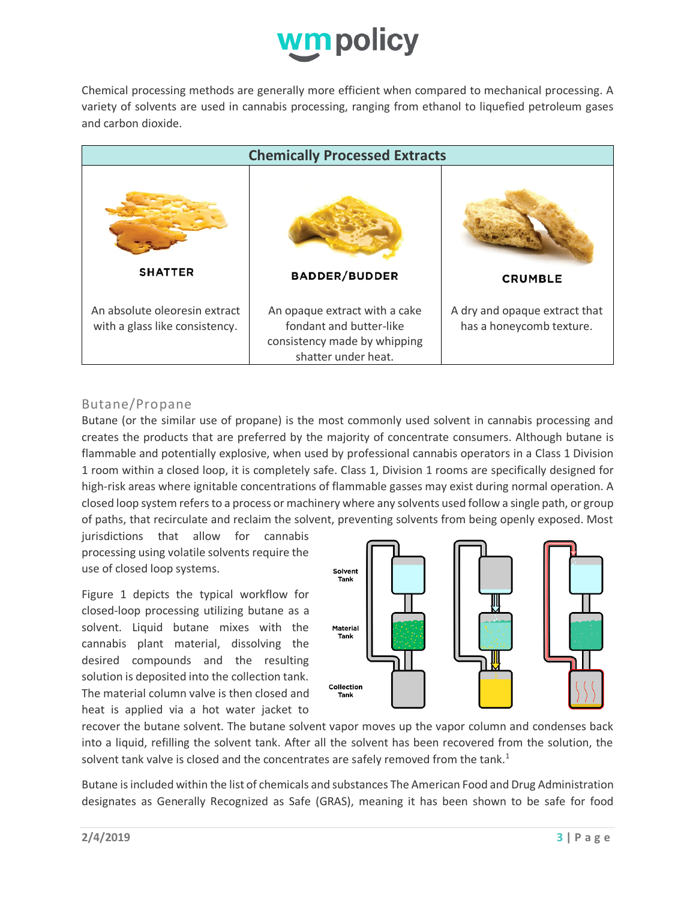

Chemical processing methods are generally more efficient when compared to mechanical processing. A variety of solvents are used in cannabis processing, ranging from ethanol to liquefied petroleum gases and carbon dioxide.

| <b>Chemically Processed Extracts</b>                            |                                                                                                                 |                                                           |  |  |
|-----------------------------------------------------------------|-----------------------------------------------------------------------------------------------------------------|-----------------------------------------------------------|--|--|
|                                                                 |                                                                                                                 |                                                           |  |  |
| <b>SHATTER</b>                                                  | <b>BADDER/BUDDER</b>                                                                                            | <b>CRUMBLE</b>                                            |  |  |
| An absolute oleoresin extract<br>with a glass like consistency. | An opaque extract with a cake<br>fondant and butter-like<br>consistency made by whipping<br>shatter under heat. | A dry and opaque extract that<br>has a honeycomb texture. |  |  |

## Butane/Propane

Butane (or the similar use of propane) is the most commonly used solvent in cannabis processing and creates the products that are preferred by the majority of concentrate consumers. Although butane is flammable and potentially explosive, when used by professional cannabis operators in a Class 1 Division 1 room within a closed loop, it is completely safe. Class 1, Division 1 rooms are specifically designed for high-risk areas where ignitable concentrations of flammable gasses may exist during normal operation. A closed loop system refersto a process or machinery where any solvents used follow a single path, or group of paths, that recirculate and reclaim the solvent, preventing solvents from being openly exposed. Most

jurisdictions that allow for cannabis processing using volatile solvents require the use of closed loop systems.

Figure 1 depicts the typical workflow for closed-loop processing utilizing butane as a solvent. Liquid butane mixes with the cannabis plant material, dissolving the desired compounds and the resulting solution is deposited into the collection tank. The material column valve is then closed and heat is applied via a hot water jacket to



recover the butane solvent. The butane solvent vapor moves up the vapor column and condenses back into a liquid, refilling the solvent tank. After all the solvent has been recovered from the solution, the solvent tank valve is closed and the concentrates are safely removed from the tank. $1$ 

Butane is included within the list of chemicals and substances The American Food and Drug Administration designates as Generally Recognized as Safe (GRAS), meaning it has been shown to be safe for food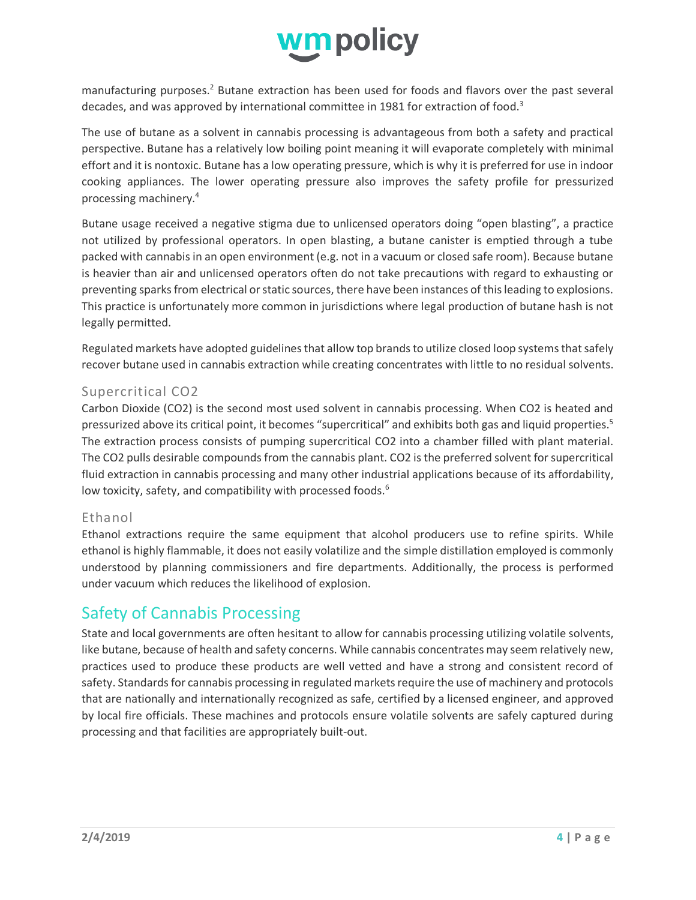

manufacturing purposes.<sup>2</sup> Butane extraction has been used for foods and flavors over the past several decades, and was approved by international committee in 1981 for extraction of food.<sup>3</sup>

The use of butane as a solvent in cannabis processing is advantageous from both a safety and practical perspective. Butane has a relatively low boiling point meaning it will evaporate completely with minimal effort and it is nontoxic. Butane has a low operating pressure, which is why it is preferred for use in indoor cooking appliances. The lower operating pressure also improves the safety profile for pressurized processing machinery.4

Butane usage received a negative stigma due to unlicensed operators doing "open blasting", a practice not utilized by professional operators. In open blasting, a butane canister is emptied through a tube packed with cannabis in an open environment (e.g. not in a vacuum or closed safe room). Because butane is heavier than air and unlicensed operators often do not take precautions with regard to exhausting or preventing sparks from electrical or static sources, there have been instances of this leading to explosions. This practice is unfortunately more common in jurisdictions where legal production of butane hash is not legally permitted.

Regulated markets have adopted guidelines that allow top brands to utilize closed loop systems that safely recover butane used in cannabis extraction while creating concentrates with little to no residual solvents.

# Supercritical CO2

Carbon Dioxide (CO2) is the second most used solvent in cannabis processing. When CO2 is heated and pressurized above its critical point, it becomes "supercritical" and exhibits both gas and liquid properties.<sup>5</sup> The extraction process consists of pumping supercritical CO2 into a chamber filled with plant material. The CO2 pulls desirable compounds from the cannabis plant. CO2 is the preferred solvent for supercritical fluid extraction in cannabis processing and many other industrial applications because of its affordability, low toxicity, safety, and compatibility with processed foods.<sup>6</sup>

#### Ethanol

Ethanol extractions require the same equipment that alcohol producers use to refine spirits. While ethanol is highly flammable, it does not easily volatilize and the simple distillation employed is commonly understood by planning commissioners and fire departments. Additionally, the process is performed under vacuum which reduces the likelihood of explosion.

# Safety of Cannabis Processing

State and local governments are often hesitant to allow for cannabis processing utilizing volatile solvents, like butane, because of health and safety concerns. While cannabis concentrates may seem relatively new, practices used to produce these products are well vetted and have a strong and consistent record of safety. Standards for cannabis processing in regulated markets require the use of machinery and protocols that are nationally and internationally recognized as safe, certified by a licensed engineer, and approved by local fire officials. These machines and protocols ensure volatile solvents are safely captured during processing and that facilities are appropriately built-out.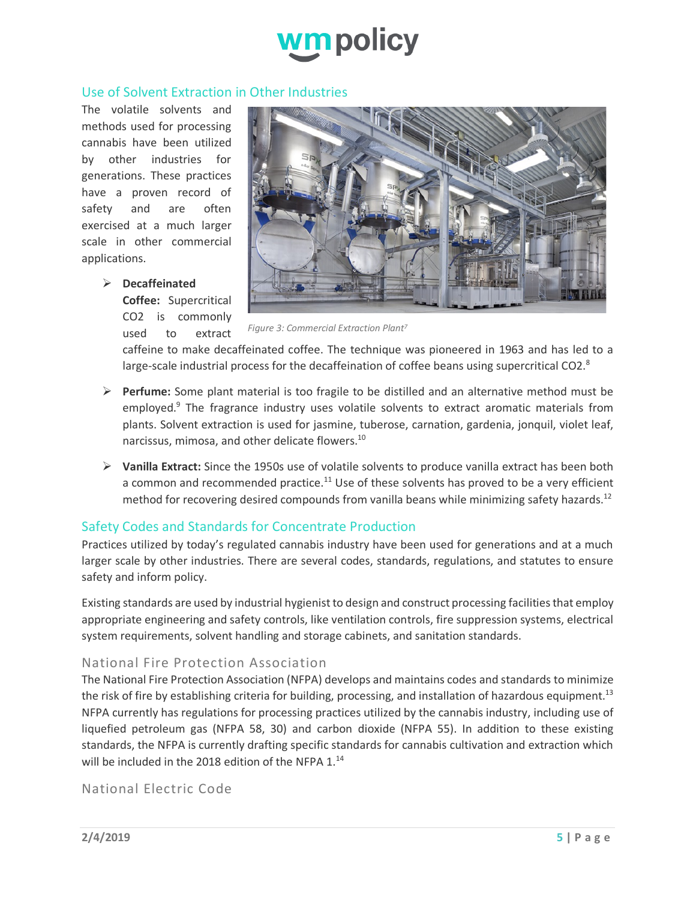

## Use of Solvent Extraction in Other Industries

The volatile solvents and methods used for processing cannabis have been utilized by other industries for generations. These practices have a proven record of safety and are often exercised at a much larger scale in other commercial applications.

Ø **Decaffeinated** 

**Coffee:** Supercritical CO2 is commonly used to extract



*Figure 3: Commercial Extraction Plant7*

caffeine to make decaffeinated coffee. The technique was pioneered in 1963 and has led to a large-scale industrial process for the decaffeination of coffee beans using supercritical CO2. $8$ 

- Ø **Perfume:** Some plant material is too fragile to be distilled and an alternative method must be employed.9 The fragrance industry uses volatile solvents to extract aromatic materials from plants. Solvent extraction is used for jasmine, tuberose, carnation, gardenia, jonquil, violet leaf, narcissus, mimosa, and other delicate flowers.10
- Ø **Vanilla Extract:** Since the 1950s use of volatile solvents to produce vanilla extract has been both a common and recommended practice.<sup>11</sup> Use of these solvents has proved to be a very efficient method for recovering desired compounds from vanilla beans while minimizing safety hazards.<sup>12</sup>

# Safety Codes and Standards for Concentrate Production

Practices utilized by today's regulated cannabis industry have been used for generations and at a much larger scale by other industries. There are several codes, standards, regulations, and statutes to ensure safety and inform policy.

Existing standards are used by industrial hygienist to design and construct processing facilities that employ appropriate engineering and safety controls, like ventilation controls, fire suppression systems, electrical system requirements, solvent handling and storage cabinets, and sanitation standards.

# National Fire Protection Association

The National Fire Protection Association (NFPA) develops and maintains codes and standards to minimize the risk of fire by establishing criteria for building, processing, and installation of hazardous equipment.<sup>13</sup> NFPA currently has regulations for processing practices utilized by the cannabis industry, including use of liquefied petroleum gas (NFPA 58, 30) and carbon dioxide (NFPA 55). In addition to these existing standards, the NFPA is currently drafting specific standards for cannabis cultivation and extraction which will be included in the 2018 edition of the NFPA 1.<sup>14</sup>

## National Electric Code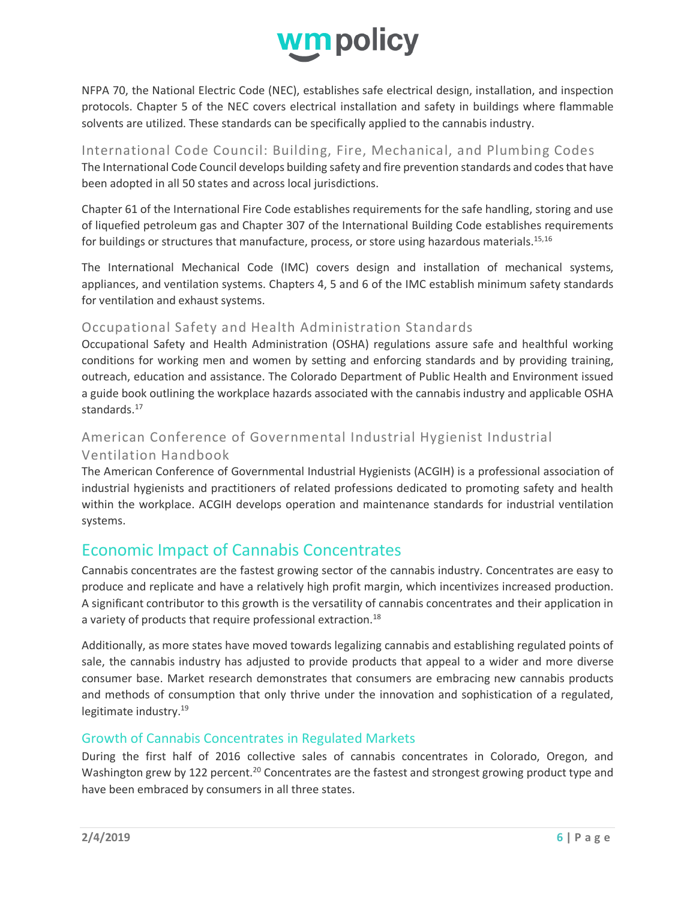

NFPA 70, the National Electric Code (NEC), establishes safe electrical design, installation, and inspection protocols. Chapter 5 of the NEC covers electrical installation and safety in buildings where flammable solvents are utilized. These standards can be specifically applied to the cannabis industry.

# International Code Council: Building, Fire, Mechanical, and Plumbing Codes<br>The International Code Council develops building safety and fire prevention standards and codes that have been adopted in all 50 states and across local jurisdictions.

Chapter 61 of the International Fire Code establishes requirements for the safe handling, storing and use of liquefied petroleum gas and Chapter 307 of the International Building Code establishes requirements for buildings or structures that manufacture, process, or store using hazardous materials.<sup>15,16</sup>

The International Mechanical Code (IMC) covers design and installation of mechanical systems, appliances, and ventilation systems. Chapters 4, 5 and 6 of the IMC establish minimum safety standards for ventilation and exhaust systems.

# Occupational Safety and Health Administration Standards

Occupational Safety and Health Administration (OSHA) regulations assure safe and healthful working conditions for working men and women by setting and enforcing standards and by providing training, outreach, education and assistance. The Colorado Department of Public Health and Environment issued a guide book outlining the workplace hazards associated with the cannabis industry and applicable OSHA standards.<sup>17</sup>

# American Conference of Governmental Industrial Hygienist Industrial Ventilation Handbook

The American Conference of Governmental Industrial Hygienists (ACGIH) is a professional association of industrial hygienists and practitioners of related professions dedicated to promoting safety and health within the workplace. ACGIH develops operation and maintenance standards for industrial ventilation systems.

# Economic Impact of Cannabis Concentrates

Cannabis concentrates are the fastest growing sector of the cannabis industry. Concentrates are easy to produce and replicate and have a relatively high profit margin, which incentivizes increased production. A significant contributor to this growth is the versatility of cannabis concentrates and their application in a variety of products that require professional extraction.<sup>18</sup>

Additionally, as more states have moved towards legalizing cannabis and establishing regulated points of sale, the cannabis industry has adjusted to provide products that appeal to a wider and more diverse consumer base. Market research demonstrates that consumers are embracing new cannabis products and methods of consumption that only thrive under the innovation and sophistication of a regulated, legitimate industry.<sup>19</sup>

# Growth of Cannabis Concentrates in Regulated Markets

During the first half of 2016 collective sales of cannabis concentrates in Colorado, Oregon, and Washington grew by 122 percent.<sup>20</sup> Concentrates are the fastest and strongest growing product type and have been embraced by consumers in all three states.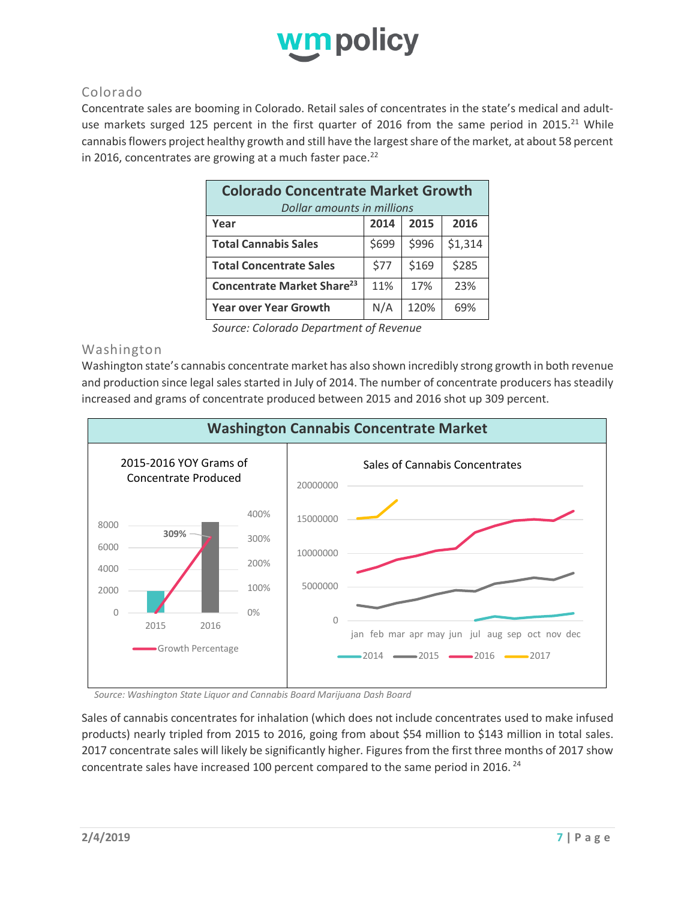

# Colorado

Concentrate sales are booming in Colorado. Retail sales of concentrates in the state's medical and adultuse markets surged 125 percent in the first quarter of 2016 from the same period in 2015.<sup>21</sup> While cannabis flowers project healthy growth and still have the largest share of the market, at about 58 percent in 2016, concentrates are growing at a much faster pace. $^{22}$ 

| <b>Colorado Concentrate Market Growth</b> |       |       |         |  |  |
|-------------------------------------------|-------|-------|---------|--|--|
| Dollar amounts in millions                |       |       |         |  |  |
| Year                                      | 2014  | 2015  | 2016    |  |  |
| <b>Total Cannabis Sales</b>               | \$699 | \$996 | \$1,314 |  |  |
| <b>Total Concentrate Sales</b>            | \$77  | \$169 | \$285   |  |  |
| Concentrate Market Share <sup>23</sup>    | 11%   | 17%   | 23%     |  |  |
| <b>Year over Year Growth</b>              | N/A   | 120%  | 69%     |  |  |

*Source: Colorado Department of Revenue*

#### Washington

Washington state's cannabis concentrate market has also shown incredibly strong growth in both revenue and production since legal sales started in July of 2014. The number of concentrate producers has steadily increased and grams of concentrate produced between 2015 and 2016 shot up 309 percent.



*Source: Washington State Liquor and Cannabis Board Marijuana Dash Board*

Sales of cannabis concentrates for inhalation (which does not include concentrates used to make infused products) nearly tripled from 2015 to 2016, going from about \$54 million to \$143 million in total sales. 2017 concentrate sales will likely be significantly higher. Figures from the first three months of 2017 show concentrate sales have increased 100 percent compared to the same period in 2016.<sup>24</sup>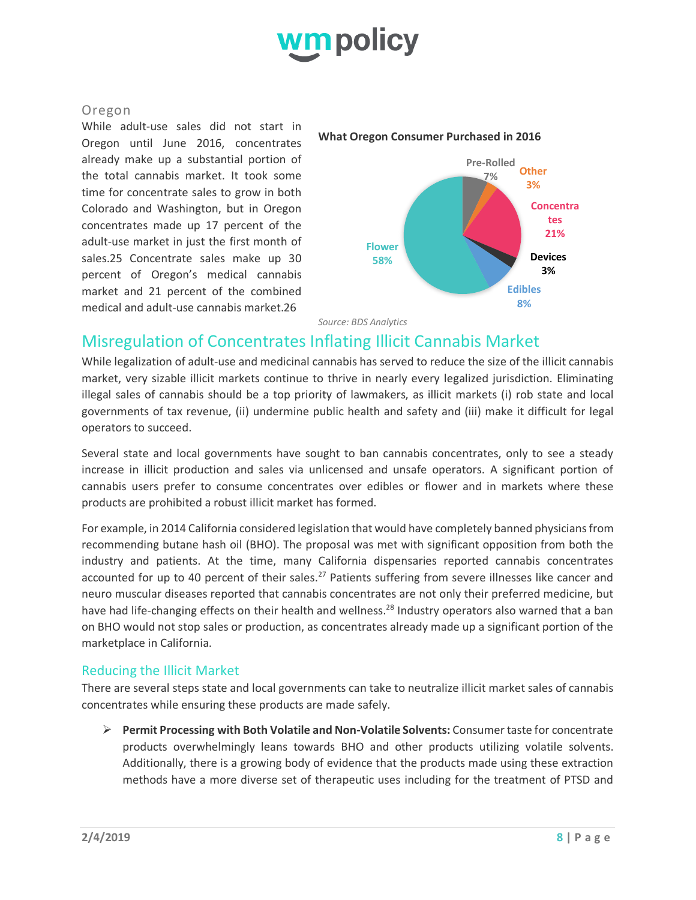

## Oregon

While adult-use sales did not start in Oregon until June 2016, concentrates already make up a substantial portion of the total cannabis market. It took some time for concentrate sales to grow in both Colorado and Washington, but in Oregon concentrates made up 17 percent of the adult-use market in just the first month of sales.25 Concentrate sales make up 30 percent of Oregon's medical cannabis market and 21 percent of the combined medical and adult-use cannabis market.26

#### **What Oregon Consumer Purchased in 2016**



*Source: BDS Analytics*

# Misregulation of Concentrates Inflating Illicit Cannabis Market

While legalization of adult-use and medicinal cannabis has served to reduce the size of the illicit cannabis market, very sizable illicit markets continue to thrive in nearly every legalized jurisdiction. Eliminating illegal sales of cannabis should be a top priority of lawmakers, as illicit markets (i) rob state and local governments of tax revenue, (ii) undermine public health and safety and (iii) make it difficult for legal operators to succeed.

Several state and local governments have sought to ban cannabis concentrates, only to see a steady increase in illicit production and sales via unlicensed and unsafe operators. A significant portion of cannabis users prefer to consume concentrates over edibles or flower and in markets where these products are prohibited a robust illicit market has formed.

For example, in 2014 California considered legislation that would have completely banned physicians from recommending butane hash oil (BHO). The proposal was met with significant opposition from both the industry and patients. At the time, many California dispensaries reported cannabis concentrates accounted for up to 40 percent of their sales.<sup>27</sup> Patients suffering from severe illnesses like cancer and neuro muscular diseases reported that cannabis concentrates are not only their preferred medicine, but have had life-changing effects on their health and wellness.<sup>28</sup> Industry operators also warned that a ban on BHO would not stop sales or production, as concentrates already made up a significant portion of the marketplace in California.

# Reducing the Illicit Market

There are several steps state and local governments can take to neutralize illicit market sales of cannabis concentrates while ensuring these products are made safely.

Ø **Permit Processing with Both Volatile and Non-Volatile Solvents:** Consumer taste for concentrate products overwhelmingly leans towards BHO and other products utilizing volatile solvents. Additionally, there is a growing body of evidence that the products made using these extraction methods have a more diverse set of therapeutic uses including for the treatment of PTSD and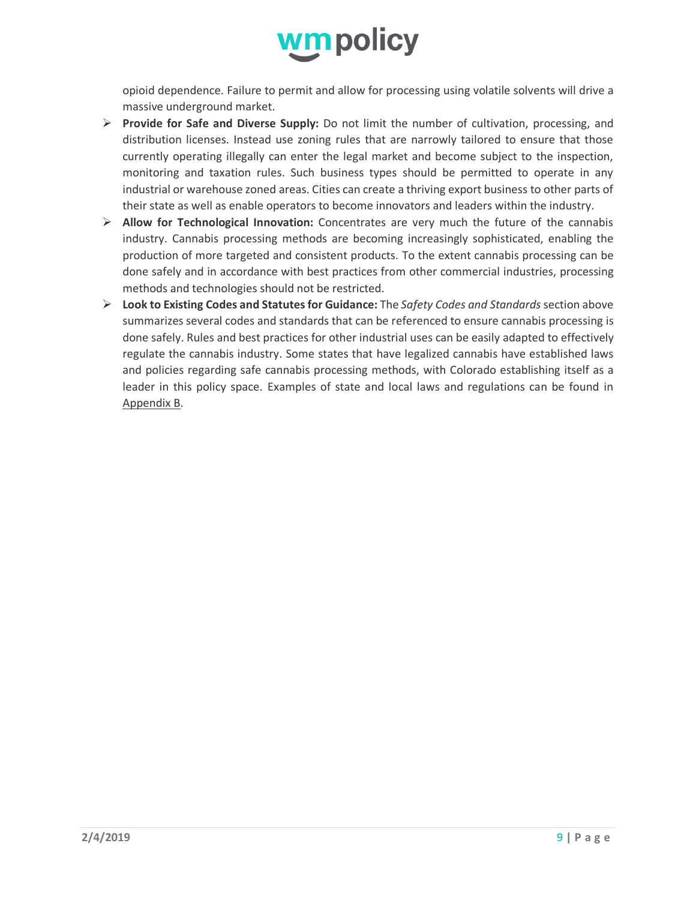

opioid dependence. Failure to permit and allow for processing using volatile solvents will drive a massive underground market.

- Ø **Provide for Safe and Diverse Supply:** Do not limit the number of cultivation, processing, and distribution licenses. Instead use zoning rules that are narrowly tailored to ensure that those currently operating illegally can enter the legal market and become subject to the inspection, monitoring and taxation rules. Such business types should be permitted to operate in any industrial or warehouse zoned areas. Cities can create a thriving export business to other parts of their state as well as enable operators to become innovators and leaders within the industry.
- Ø **Allow for Technological Innovation:** Concentrates are very much the future of the cannabis industry. Cannabis processing methods are becoming increasingly sophisticated, enabling the production of more targeted and consistent products. To the extent cannabis processing can be done safely and in accordance with best practices from other commercial industries, processing methods and technologies should not be restricted.
- Ø **Look to Existing Codes and Statutes for Guidance:** The *Safety Codes and Standards* section above summarizes several codes and standards that can be referenced to ensure cannabis processing is done safely. Rules and best practices for other industrial uses can be easily adapted to effectively regulate the cannabis industry. Some states that have legalized cannabis have established laws and policies regarding safe cannabis processing methods, with Colorado establishing itself as a leader in this policy space. Examples of state and local laws and regulations can be found in Appendix B.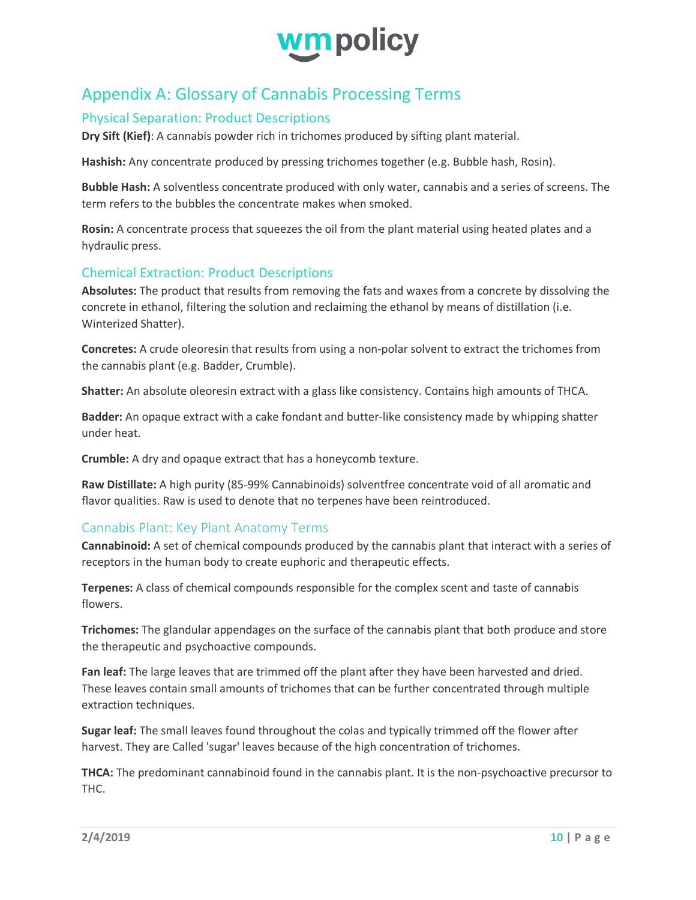

# Appendix A: Glossary of Cannabis Processing Terms

# Physical Separation: Product Descriptions

**Dry Sift (Kief)**: A cannabis powder rich in trichomes produced by sifting plant material.

**Hashish:** Any concentrate produced by pressing trichomes together (e.g. Bubble hash, Rosin).

**Bubble Hash:** A solventless concentrate produced with only water, cannabis and a series of screens. The term refers to the bubbles the concentrate makes when smoked.

**Rosin:** A concentrate process that squeezes the oil from the plant material using heated plates and a hydraulic press.

# Chemical Extraction: Product Descriptions

**Absolutes:** The product that results from removing the fats and waxes from a concrete by dissolving the concrete in ethanol, filtering the solution and reclaiming the ethanol by means of distillation (i.e. Winterized Shatter).

**Concretes:** A crude oleoresin that results from using a non-polar solvent to extract the trichomes from the cannabis plant (e.g. Badder, Crumble).

**Shatter:** An absolute oleoresin extract with a glass like consistency. Contains high amounts of THCA.

**Badder:** An opaque extract with a cake fondant and butter-like consistency made by whipping shatter under heat.

**Crumble:** A dry and opaque extract that has a honeycomb texture.

**Raw Distillate:** A high purity (85-99% Cannabinoids) solventfree concentrate void of all aromatic and flavor qualities. Raw is used to denote that no terpenes have been reintroduced.

# Cannabis Plant: Key Plant Anatomy Terms

**Cannabinoid:** A set of chemical compounds produced by the cannabis plant that interact with a series of receptors in the human body to create euphoric and therapeutic effects.

**Terpenes:** A class of chemical compounds responsible for the complex scent and taste of cannabis flowers.

**Trichomes:** The glandular appendages on the surface of the cannabis plant that both produce and store the therapeutic and psychoactive compounds.

**Fan leaf:** The large leaves that are trimmed off the plant after they have been harvested and dried. These leaves contain small amounts of trichomes that can be further concentrated through multiple extraction techniques.

**Sugar leaf:** The small leaves found throughout the colas and typically trimmed off the flower after harvest. They are Called 'sugar' leaves because of the high concentration of trichomes.

**THCA:** The predominant cannabinoid found in the cannabis plant. It is the non-psychoactive precursor to THC.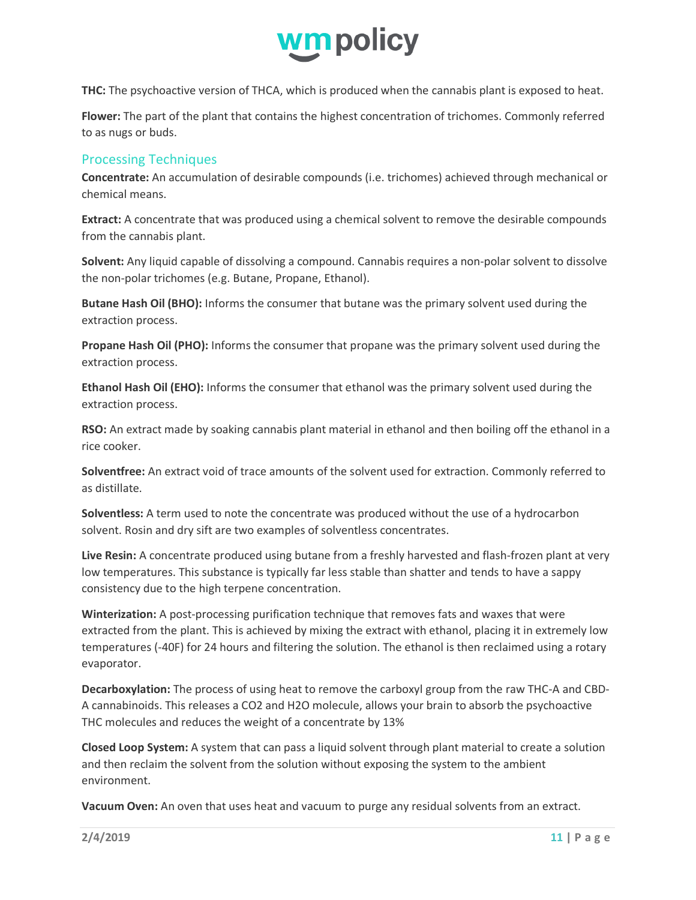

**THC:** The psychoactive version of THCA, which is produced when the cannabis plant is exposed to heat.

**Flower:** The part of the plant that contains the highest concentration of trichomes. Commonly referred to as nugs or buds.

## Processing Techniques

**Concentrate:** An accumulation of desirable compounds (i.e. trichomes) achieved through mechanical or chemical means.

**Extract:** A concentrate that was produced using a chemical solvent to remove the desirable compounds from the cannabis plant.

**Solvent:** Any liquid capable of dissolving a compound. Cannabis requires a non-polar solvent to dissolve the non-polar trichomes (e.g. Butane, Propane, Ethanol).

**Butane Hash Oil (BHO):** Informs the consumer that butane was the primary solvent used during the extraction process.

**Propane Hash Oil (PHO):** Informs the consumer that propane was the primary solvent used during the extraction process.

**Ethanol Hash Oil (EHO):** Informs the consumer that ethanol was the primary solvent used during the extraction process.

**RSO:** An extract made by soaking cannabis plant material in ethanol and then boiling off the ethanol in a rice cooker.

**Solventfree:** An extract void of trace amounts of the solvent used for extraction. Commonly referred to as distillate.

**Solventless:** A term used to note the concentrate was produced without the use of a hydrocarbon solvent. Rosin and dry sift are two examples of solventless concentrates.

**Live Resin:** A concentrate produced using butane from a freshly harvested and flash-frozen plant at very low temperatures. This substance is typically far less stable than shatter and tends to have a sappy consistency due to the high terpene concentration.

**Winterization:** A post-processing purification technique that removes fats and waxes that were extracted from the plant. This is achieved by mixing the extract with ethanol, placing it in extremely low temperatures (-40F) for 24 hours and filtering the solution. The ethanol is then reclaimed using a rotary evaporator.

**Decarboxylation:** The process of using heat to remove the carboxyl group from the raw THC-A and CBD-A cannabinoids. This releases a CO2 and H2O molecule, allows your brain to absorb the psychoactive THC molecules and reduces the weight of a concentrate by 13%

**Closed Loop System:** A system that can pass a liquid solvent through plant material to create a solution and then reclaim the solvent from the solution without exposing the system to the ambient environment.

**Vacuum Oven:** An oven that uses heat and vacuum to purge any residual solvents from an extract.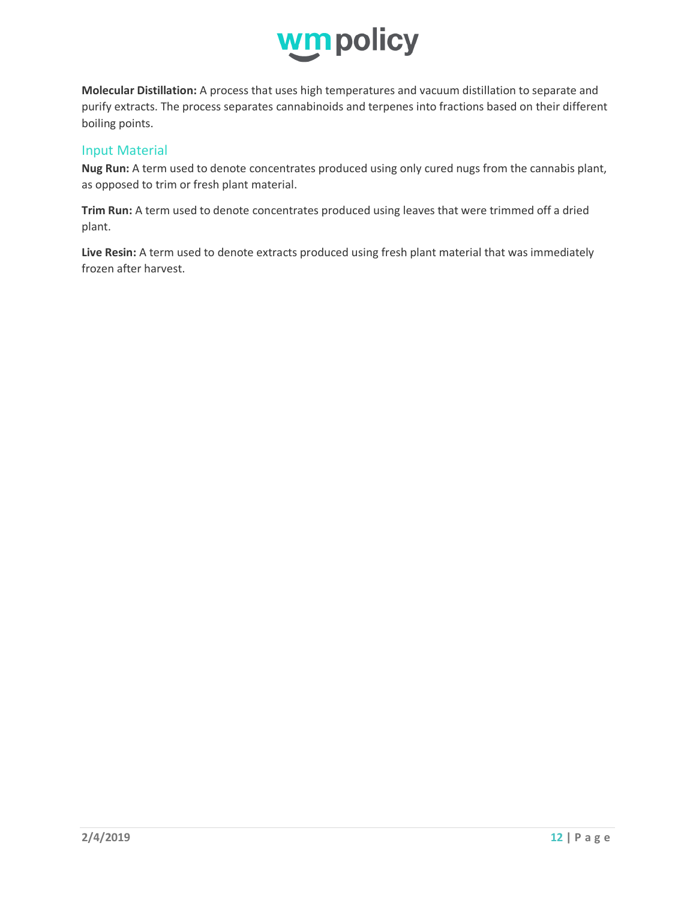

**Molecular Distillation:** A process that uses high temperatures and vacuum distillation to separate and purify extracts. The process separates cannabinoids and terpenes into fractions based on their different boiling points.

#### Input Material

**Nug Run:** A term used to denote concentrates produced using only cured nugs from the cannabis plant, as opposed to trim or fresh plant material.

**Trim Run:** A term used to denote concentrates produced using leaves that were trimmed off a dried plant.

**Live Resin:** A term used to denote extracts produced using fresh plant material that was immediately frozen after harvest.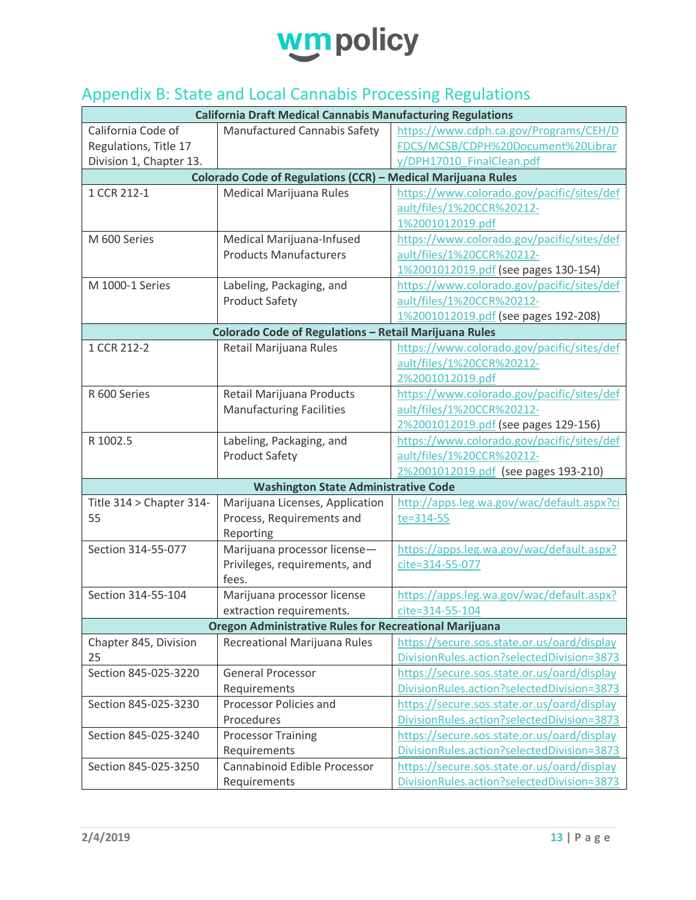

# Appendix B: State and Local Cannabis Processing Regulations

| <b>California Draft Medical Cannabis Manufacturing Regulations</b> |                                                              |                                             |  |  |
|--------------------------------------------------------------------|--------------------------------------------------------------|---------------------------------------------|--|--|
| California Code of                                                 | Manufactured Cannabis Safety                                 | https://www.cdph.ca.gov/Programs/CEH/D      |  |  |
| Regulations, Title 17                                              |                                                              | FDCS/MCSB/CDPH%20Document%20Librar          |  |  |
| Division 1, Chapter 13.                                            |                                                              | y/DPH17010 FinalClean.pdf                   |  |  |
|                                                                    | Colorado Code of Regulations (CCR) - Medical Marijuana Rules |                                             |  |  |
| 1 CCR 212-1                                                        | Medical Marijuana Rules                                      | https://www.colorado.gov/pacific/sites/def  |  |  |
|                                                                    |                                                              | ault/files/1%20CCR%20212-                   |  |  |
|                                                                    |                                                              | 1%2001012019.pdf                            |  |  |
| M 600 Series                                                       | Medical Marijuana-Infused                                    | https://www.colorado.gov/pacific/sites/def  |  |  |
|                                                                    | <b>Products Manufacturers</b>                                | ault/files/1%20CCR%20212-                   |  |  |
|                                                                    |                                                              | 1%2001012019.pdf (see pages 130-154)        |  |  |
| M 1000-1 Series                                                    | Labeling, Packaging, and                                     | https://www.colorado.gov/pacific/sites/def  |  |  |
|                                                                    | <b>Product Safety</b>                                        | ault/files/1%20CCR%20212-                   |  |  |
|                                                                    |                                                              | 1%2001012019.pdf (see pages 192-208)        |  |  |
|                                                                    | Colorado Code of Regulations - Retail Marijuana Rules        |                                             |  |  |
| 1 CCR 212-2                                                        | Retail Marijuana Rules                                       | https://www.colorado.gov/pacific/sites/def  |  |  |
|                                                                    |                                                              | ault/files/1%20CCR%20212-                   |  |  |
|                                                                    |                                                              | 2%2001012019.pdf                            |  |  |
| R 600 Series                                                       | Retail Marijuana Products                                    | https://www.colorado.gov/pacific/sites/def  |  |  |
|                                                                    | <b>Manufacturing Facilities</b>                              | ault/files/1%20CCR%20212-                   |  |  |
|                                                                    |                                                              | 2%2001012019.pdf (see pages 129-156)        |  |  |
| R 1002.5                                                           | Labeling, Packaging, and                                     | https://www.colorado.gov/pacific/sites/def  |  |  |
|                                                                    | <b>Product Safety</b>                                        | ault/files/1%20CCR%20212-                   |  |  |
|                                                                    |                                                              | 2%2001012019.pdf (see pages 193-210)        |  |  |
|                                                                    | <b>Washington State Administrative Code</b>                  |                                             |  |  |
| Title 314 > Chapter 314-                                           | Marijuana Licenses, Application                              | http://apps.leg.wa.gov/wac/default.aspx?ci  |  |  |
| 55                                                                 | Process, Requirements and                                    | te=314-55                                   |  |  |
|                                                                    | Reporting                                                    |                                             |  |  |
| Section 314-55-077                                                 | Marijuana processor license-                                 | https://apps.leg.wa.gov/wac/default.aspx?   |  |  |
|                                                                    | Privileges, requirements, and                                | cite=314-55-077                             |  |  |
|                                                                    | fees.                                                        |                                             |  |  |
| Section 314-55-104                                                 | Marijuana processor license                                  | https://apps.leg.wa.gov/wac/default.aspx?   |  |  |
|                                                                    | extraction requirements.                                     | cite=314-55-104                             |  |  |
| <b>Oregon Administrative Rules for Recreational Marijuana</b>      |                                                              |                                             |  |  |
| Chapter 845, Division                                              | Recreational Marijuana Rules                                 | https://secure.sos.state.or.us/oard/display |  |  |
| 25                                                                 |                                                              | DivisionRules.action?selectedDivision=3873  |  |  |
| Section 845-025-3220                                               | <b>General Processor</b>                                     | https://secure.sos.state.or.us/oard/display |  |  |
|                                                                    | Requirements                                                 | DivisionRules.action?selectedDivision=3873  |  |  |
| Section 845-025-3230                                               | Processor Policies and                                       | https://secure.sos.state.or.us/oard/display |  |  |
|                                                                    | Procedures                                                   | DivisionRules.action?selectedDivision=3873  |  |  |
| Section 845-025-3240                                               | <b>Processor Training</b>                                    | https://secure.sos.state.or.us/oard/display |  |  |
|                                                                    | Requirements                                                 | DivisionRules.action?selectedDivision=3873  |  |  |
| Section 845-025-3250                                               | Cannabinoid Edible Processor                                 | https://secure.sos.state.or.us/oard/display |  |  |
|                                                                    | Requirements                                                 | DivisionRules.action?selectedDivision=3873  |  |  |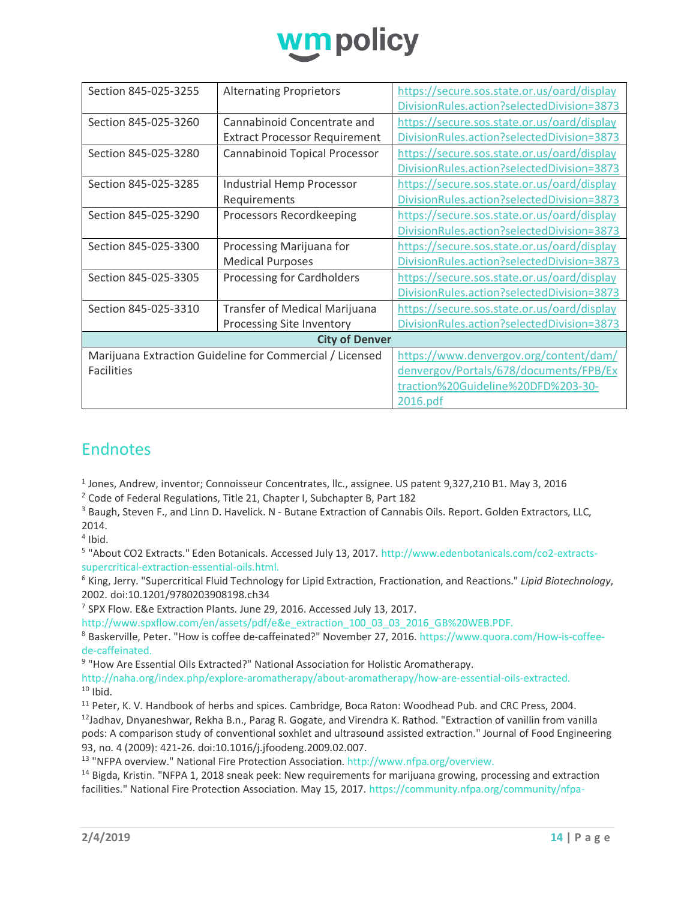

| Section 845-025-3255                                     | <b>Alternating Proprietors</b>       | https://secure.sos.state.or.us/oard/display |  |  |
|----------------------------------------------------------|--------------------------------------|---------------------------------------------|--|--|
|                                                          |                                      | DivisionRules.action?selectedDivision=3873  |  |  |
| Section 845-025-3260                                     | Cannabinoid Concentrate and          | https://secure.sos.state.or.us/oard/display |  |  |
|                                                          | <b>Extract Processor Requirement</b> | DivisionRules.action?selectedDivision=3873  |  |  |
| Section 845-025-3280                                     | Cannabinoid Topical Processor        | https://secure.sos.state.or.us/oard/display |  |  |
|                                                          |                                      | DivisionRules.action?selectedDivision=3873  |  |  |
| Section 845-025-3285                                     | Industrial Hemp Processor            | https://secure.sos.state.or.us/oard/display |  |  |
|                                                          | Requirements                         | DivisionRules.action?selectedDivision=3873  |  |  |
| Section 845-025-3290                                     | Processors Recordkeeping             | https://secure.sos.state.or.us/oard/display |  |  |
|                                                          |                                      | DivisionRules.action?selectedDivision=3873  |  |  |
| Section 845-025-3300                                     | Processing Marijuana for             | https://secure.sos.state.or.us/oard/display |  |  |
|                                                          | <b>Medical Purposes</b>              | DivisionRules.action?selectedDivision=3873  |  |  |
| Section 845-025-3305                                     | Processing for Cardholders           | https://secure.sos.state.or.us/oard/display |  |  |
|                                                          |                                      | DivisionRules.action?selectedDivision=3873  |  |  |
| Section 845-025-3310                                     | Transfer of Medical Marijuana        | https://secure.sos.state.or.us/oard/display |  |  |
|                                                          | Processing Site Inventory            | DivisionRules.action?selectedDivision=3873  |  |  |
| <b>City of Denver</b>                                    |                                      |                                             |  |  |
| Marijuana Extraction Guideline for Commercial / Licensed |                                      | https://www.denvergov.org/content/dam/      |  |  |
| <b>Facilities</b>                                        |                                      | denvergov/Portals/678/documents/FPB/Ex      |  |  |
|                                                          |                                      | traction%20Guideline%20DFD%203-30-          |  |  |
|                                                          |                                      | 2016.pdf                                    |  |  |

# Endnotes

<sup>1</sup> Jones, Andrew, inventor; Connoisseur Concentrates, llc., assignee. US patent 9,327,210 B1. May 3, 2016

<sup>2</sup> Code of Federal Regulations, Title 21, Chapter I, Subchapter B, Part 182

<sup>3</sup> Baugh, Steven F., and Linn D. Havelick. N - Butane Extraction of Cannabis Oils. Report. Golden Extractors, LLC, 2014.

 $4$  Ibid.

<sup>5</sup> "About CO2 Extracts." Eden Botanicals. Accessed July 13, 2017. http://www.edenbotanicals.com/co2-extractssupercritical-extraction-essential-oils.html.

<sup>6</sup> King, Jerry. "Supercritical Fluid Technology for Lipid Extraction, Fractionation, and Reactions." *Lipid Biotechnology*, 2002. doi:10.1201/9780203908198.ch34

<sup>7</sup> SPX Flow. E&e Extraction Plants. June 29, 2016. Accessed July 13, 2017.

http://www.spxflow.com/en/assets/pdf/e&e\_extraction\_100\_03\_03\_2016\_GB%20WEB.PDF.

<sup>8</sup> Baskerville, Peter. "How is coffee de-caffeinated?" November 27, 2016. https://www.quora.com/How-is-coffeede-caffeinated.

<sup>9</sup> "How Are Essential Oils Extracted?" National Association for Holistic Aromatherapy.

http://naha.org/index.php/explore-aromatherapy/about-aromatherapy/how-are-essential-oils-extracted.<br><sup>10</sup> Ibid.

<sup>11</sup> Peter, K. V. Handbook of herbs and spices. Cambridge, Boca Raton: Woodhead Pub. and CRC Press, 2004.<br><sup>12</sup>Jadhav, Dnyaneshwar, Rekha B.n., Parag R. Gogate, and Virendra K. Rathod. "Extraction of vanillin from vanilla pods: A comparison study of conventional soxhlet and ultrasound assisted extraction." Journal of Food Engineering

93, no. 4 (2009): 421-26. doi:10.1016/j.jfoodeng.2009.02.007.<br><sup>13</sup> "NFPA overview." National Fire Protection Association. http://www.nfpa.org/overview.

<sup>14</sup> Bigda, Kristin. "NFPA 1, 2018 sneak peek: New requirements for marijuana growing, processing and extraction facilities." National Fire Protection Association. May 15, 2017. https://community.nfpa.org/community/nfpa-